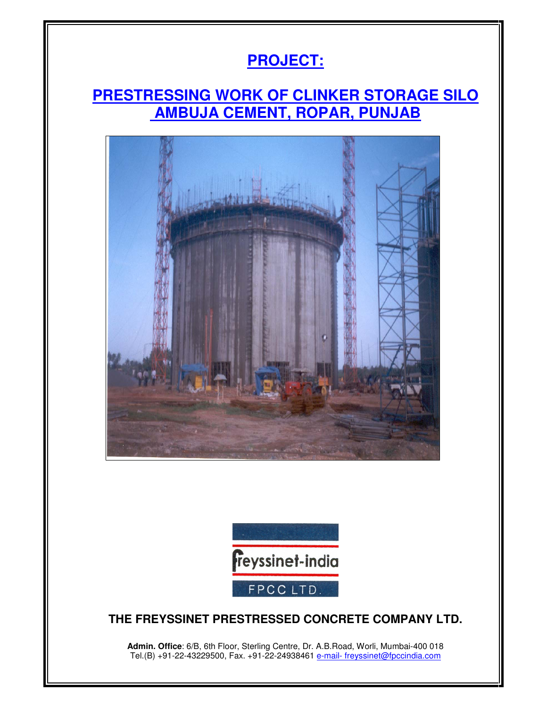## **PROJECT:**

#### **PRESTRESSING WORK OF CLINKER STORAGE SILO AMBUJA CEMENT, ROPAR, PUNJAB**





#### **THE FREYSSINET PRESTRESSED CONCRETE COMPANY LTD.**

**Admin. Office**: 6/B, 6th Floor, Sterling Centre, Dr. A.B.Road, Worli, Mumbai-400 018 Tel.(B) +91-22-43229500, Fax. +91-22-24938461 e-mail- freyssinet@fpccindia.com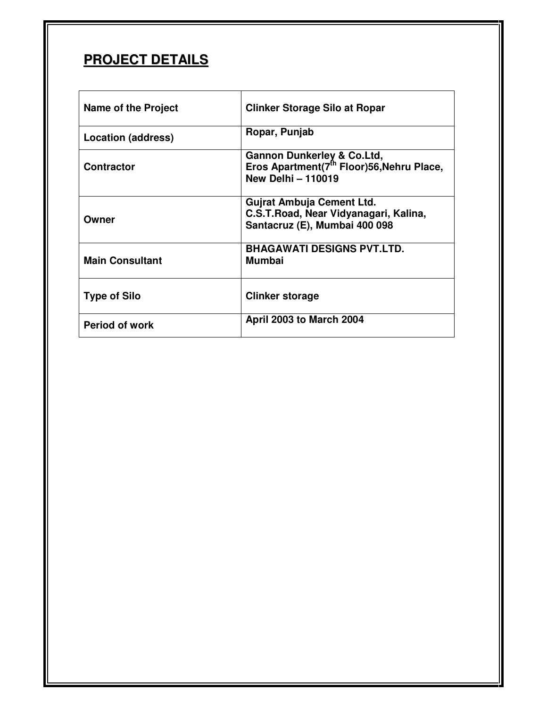### **PROJECT DETAILS**

| <b>Name of the Project</b> | <b>Clinker Storage Silo at Ropar</b>                                                                                        |
|----------------------------|-----------------------------------------------------------------------------------------------------------------------------|
| <b>Location (address)</b>  | Ropar, Punjab                                                                                                               |
| <b>Contractor</b>          | <b>Gannon Dunkerley &amp; Co.Ltd,</b><br>Eros Apartment(7 <sup>th</sup> Floor)56, Nehru Place,<br><b>New Delhi - 110019</b> |
| Owner                      | Gujrat Ambuja Cement Ltd.<br>C.S.T. Road, Near Vidyanagari, Kalina,<br>Santacruz (E), Mumbai 400 098                        |
| <b>Main Consultant</b>     | <b>BHAGAWATI DESIGNS PVT.LTD.</b><br><b>Mumbai</b>                                                                          |
| <b>Type of Silo</b>        | <b>Clinker storage</b>                                                                                                      |
| <b>Period of work</b>      | <b>April 2003 to March 2004</b>                                                                                             |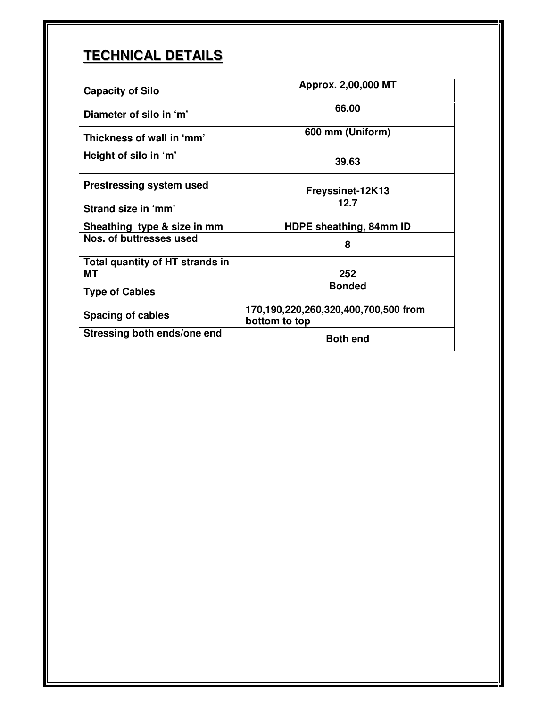# **TECHNICAL DETAILS**

| <b>Capacity of Silo</b>         | Approx. 2,00,000 MT                                   |
|---------------------------------|-------------------------------------------------------|
| Diameter of silo in 'm'         | 66.00                                                 |
| Thickness of wall in 'mm'       | 600 mm (Uniform)                                      |
| Height of silo in 'm'           | 39.63                                                 |
| <b>Prestressing system used</b> | <b>Freyssinet-12K13</b>                               |
| Strand size in 'mm'             | 12.7                                                  |
| Sheathing type & size in mm     | HDPE sheathing, 84mm ID                               |
| Nos. of buttresses used         | 8                                                     |
| Total quantity of HT strands in |                                                       |
| МT                              | 252                                                   |
| <b>Type of Cables</b>           | <b>Bonded</b>                                         |
| <b>Spacing of cables</b>        | 170,190,220,260,320,400,700,500 from<br>bottom to top |
| Stressing both ends/one end     | <b>Both end</b>                                       |